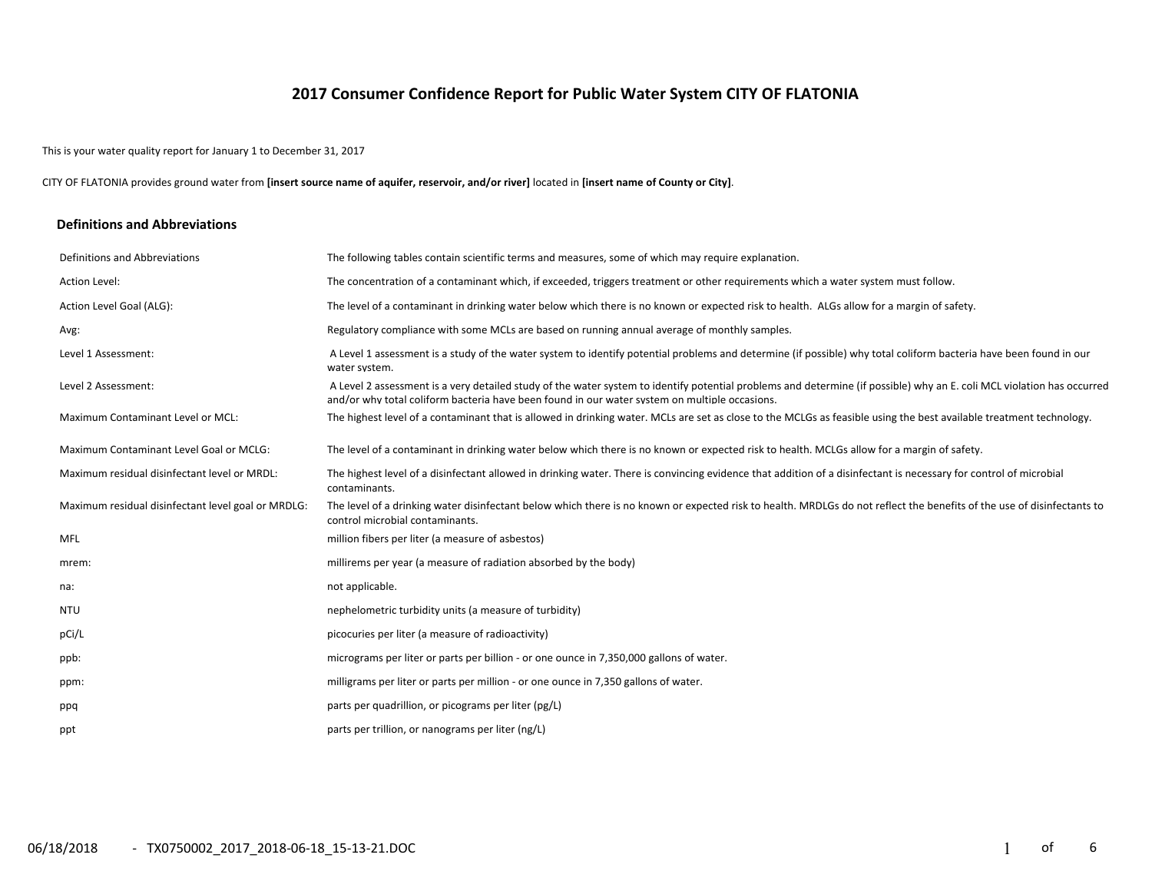## **2017 Consumer Confidence Report for Public Water System CITY OF FLATONIA**

This is your water quality report for January 1 to December 31, 2017

CITY OF FLATONIA provides ground water from **[insert source name of aquifer, reservoir, and/or river]** located in **[insert name of County or City]**.

#### **Definitions and Abbreviations**

| Definitions and Abbreviations                      | The following tables contain scientific terms and measures, some of which may require explanation.                                                                                                                                                                      |
|----------------------------------------------------|-------------------------------------------------------------------------------------------------------------------------------------------------------------------------------------------------------------------------------------------------------------------------|
| Action Level:                                      | The concentration of a contaminant which, if exceeded, triggers treatment or other requirements which a water system must follow.                                                                                                                                       |
| Action Level Goal (ALG):                           | The level of a contaminant in drinking water below which there is no known or expected risk to health. ALGs allow for a margin of safety.                                                                                                                               |
| Avg:                                               | Regulatory compliance with some MCLs are based on running annual average of monthly samples.                                                                                                                                                                            |
| Level 1 Assessment:                                | A Level 1 assessment is a study of the water system to identify potential problems and determine (if possible) why total coliform bacteria have been found in our<br>water system.                                                                                      |
| Level 2 Assessment:                                | A Level 2 assessment is a very detailed study of the water system to identify potential problems and determine (if possible) why an E. coli MCL violation has occurred<br>and/or why total coliform bacteria have been found in our water system on multiple occasions. |
| Maximum Contaminant Level or MCL:                  | The highest level of a contaminant that is allowed in drinking water. MCLs are set as close to the MCLGs as feasible using the best available treatment technology.                                                                                                     |
| Maximum Contaminant Level Goal or MCLG:            | The level of a contaminant in drinking water below which there is no known or expected risk to health. MCLGs allow for a margin of safety.                                                                                                                              |
| Maximum residual disinfectant level or MRDL:       | The highest level of a disinfectant allowed in drinking water. There is convincing evidence that addition of a disinfectant is necessary for control of microbial<br>contaminants.                                                                                      |
| Maximum residual disinfectant level goal or MRDLG: | The level of a drinking water disinfectant below which there is no known or expected risk to health. MRDLGs do not reflect the benefits of the use of disinfectants to<br>control microbial contaminants.                                                               |
| <b>MFL</b>                                         | million fibers per liter (a measure of asbestos)                                                                                                                                                                                                                        |
| mrem:                                              | millirems per year (a measure of radiation absorbed by the body)                                                                                                                                                                                                        |
| na:                                                | not applicable.                                                                                                                                                                                                                                                         |
| NTU                                                | nephelometric turbidity units (a measure of turbidity)                                                                                                                                                                                                                  |
| pCi/L                                              | picocuries per liter (a measure of radioactivity)                                                                                                                                                                                                                       |
| ppb:                                               | micrograms per liter or parts per billion - or one ounce in 7,350,000 gallons of water.                                                                                                                                                                                 |
| ppm:                                               | milligrams per liter or parts per million - or one ounce in 7,350 gallons of water.                                                                                                                                                                                     |
| ppq                                                | parts per quadrillion, or picograms per liter (pg/L)                                                                                                                                                                                                                    |
| ppt                                                | parts per trillion, or nanograms per liter (ng/L)                                                                                                                                                                                                                       |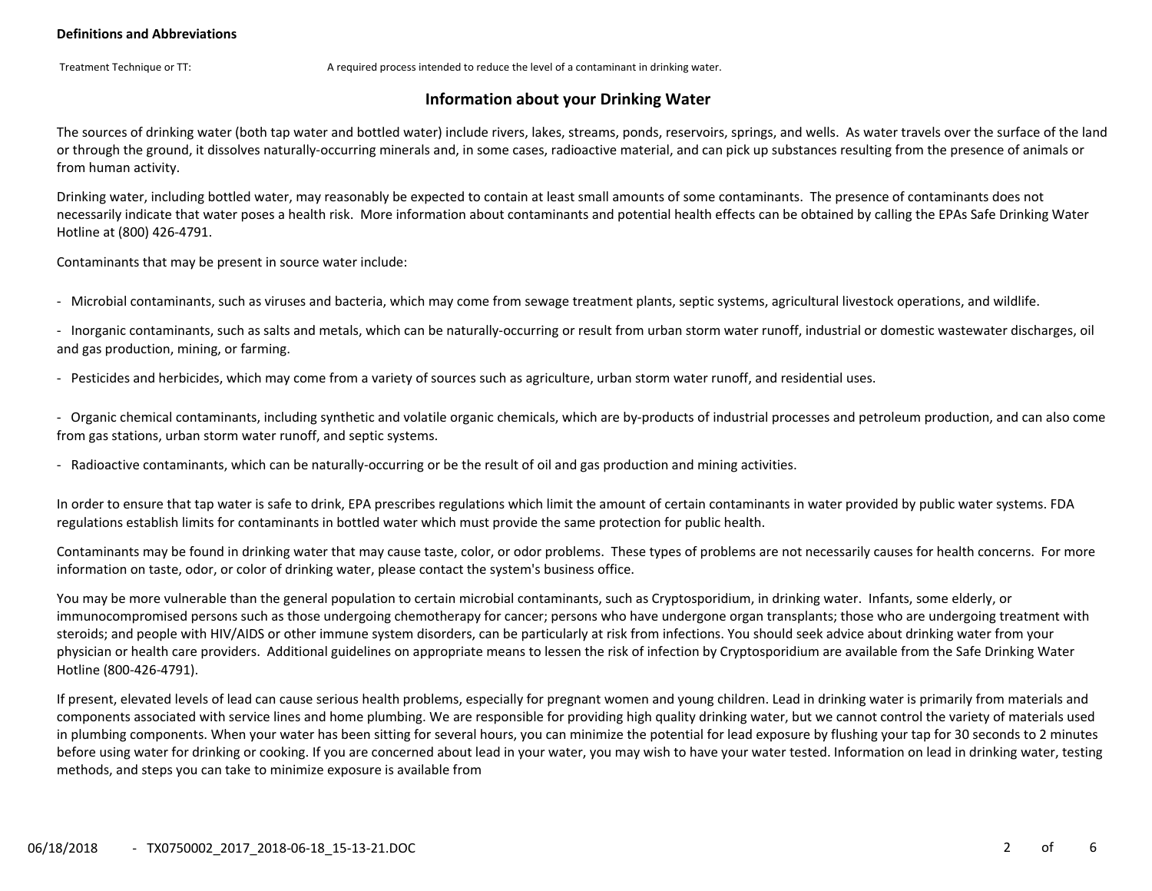Treatment Technique or TT: A required process intended to reduce the level of a contaminant in drinking water.

## **Information about your Drinking Water**

The sources of drinking water (both tap water and bottled water) include rivers, lakes, streams, ponds, reservoirs, springs, and wells. As water travels over the surface of the land or through the ground, it dissolves naturally‐occurring minerals and, in some cases, radioactive material, and can pick up substances resulting from the presence of animals or from human activity.

Drinking water, including bottled water, may reasonably be expected to contain at least small amounts of some contaminants. The presence of contaminants does not necessarily indicate that water poses a health risk. More information about contaminants and potential health effects can be obtained by calling the EPAs Safe Drinking Water Hotline at (800) 426‐4791.

Contaminants that may be present in source water include:

‐ Microbial contaminants, such as viruses and bacteria, which may come from sewage treatment plants, septic systems, agricultural livestock operations, and wildlife.

‐ Inorganic contaminants, such as salts and metals, which can be naturally‐occurring or result from urban storm water runoff, industrial or domestic wastewater discharges, oil and gas production, mining, or farming.

‐ Pesticides and herbicides, which may come from a variety of sources such as agriculture, urban storm water runoff, and residential uses.

‐ Organic chemical contaminants, including synthetic and volatile organic chemicals, which are by‐products of industrial processes and petroleum production, and can also come from gas stations, urban storm water runoff, and septic systems.

‐ Radioactive contaminants, which can be naturally‐occurring or be the result of oil and gas production and mining activities.

In order to ensure that tap water is safe to drink, EPA prescribes regulations which limit the amount of certain contaminants in water provided by public water systems. FDA regulations establish limits for contaminants in bottled water which must provide the same protection for public health.

Contaminants may be found in drinking water that may cause taste, color, or odor problems. These types of problems are not necessarily causes for health concerns. For more information on taste, odor, or color of drinking water, please contact the system's business office.

You may be more vulnerable than the general population to certain microbial contaminants, such as Cryptosporidium, in drinking water. Infants, some elderly, or immunocompromised persons such as those undergoing chemotherapy for cancer; persons who have undergone organ transplants; those who are undergoing treatment with steroids; and people with HIV/AIDS or other immune system disorders, can be particularly at risk from infections. You should seek advice about drinking water from your physician or health care providers. Additional guidelines on appropriate means to lessen the risk of infection by Cryptosporidium are available from the Safe Drinking Water Hotline (800‐426‐4791).

If present, elevated levels of lead can cause serious health problems, especially for pregnant women and young children. Lead in drinking water is primarily from materials and components associated with service lines and home plumbing. We are responsible for providing high quality drinking water, but we cannot control the variety of materials used in plumbing components. When your water has been sitting for several hours, you can minimize the potential for lead exposure by flushing your tap for 30 seconds to 2 minutes before using water for drinking or cooking. If you are concerned about lead in your water, you may wish to have your water tested. Information on lead in drinking water, testing methods, and steps you can take to minimize exposure is available from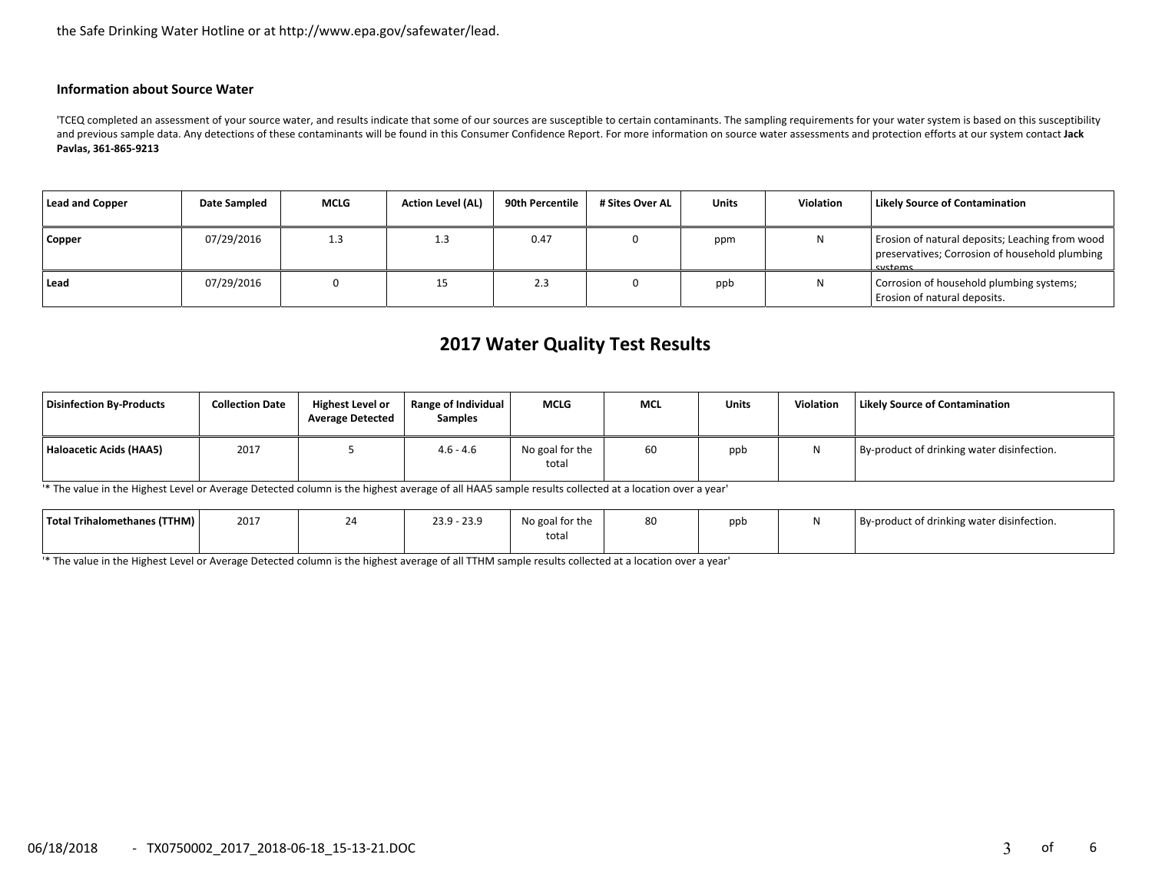the Safe Drinking Water Hotline or at http://www.epa.gov/safewater/lead.

#### **Information about Source Water**

'TCEQ completed an assessment of your source water, and results indicate that some of our sources are susceptible to certain contaminants. The sampling requirements for your water system is based on this susceptibility and previous sample data. Any detections of these contaminants will be found in this Consumer Confidence Report. For more information on source water assessments and protection efforts at our system contact **Jack Pavlas, 361‐865‐9213**

| <b>Lead and Copper</b> | Date Sampled | <b>MCLG</b> | <b>Action Level (AL)</b> | 90th Percentile | # Sites Over AL | <b>Units</b> | Violation | Likely Source of Contamination                                                                               |
|------------------------|--------------|-------------|--------------------------|-----------------|-----------------|--------------|-----------|--------------------------------------------------------------------------------------------------------------|
| Copper                 | 07/29/2016   | 1.3         | 1.3                      | 0.47            |                 | ppm          | N         | Erosion of natural deposits; Leaching from wood<br>preservatives; Corrosion of household plumbing<br>systems |
| Lead                   | 07/29/2016   |             | 15                       | د.ع             |                 | ppb          | ΙN        | Corrosion of household plumbing systems;<br>Erosion of natural deposits.                                     |

# **2017 Water Quality Test Results**

| Disinfection By-Products | <b>Collection Date</b> | <b>Highest Level or</b><br><b>Average Detected</b> | <b>Range of Individual</b><br><b>Samples</b> | <b>MCLG</b>              | <b>MCL</b> | <b>Units</b> | <b>Violation</b> | Likely Source of Contamination             |
|--------------------------|------------------------|----------------------------------------------------|----------------------------------------------|--------------------------|------------|--------------|------------------|--------------------------------------------|
| Haloacetic Acids (HAA5)  | 2017                   |                                                    | $4.6 - 4.6$                                  | No goal for the<br>total | 60         | ppb          | N                | By-product of drinking water disinfection. |

'\* The value in the Highest Level or Average Detected column is the highest average of all HAA5 sample results collected at a location over a year'

| Total Trihalomethanes (TTHM) | 2017 | -- | חכר חכר<br>- 23.9<br>້. ບໍ່ | No goal for the | 80 | ppb | By-product of drinking water disinfection. |
|------------------------------|------|----|-----------------------------|-----------------|----|-----|--------------------------------------------|
|                              |      |    |                             | total           |    |     |                                            |

'\* The value in the Highest Level or Average Detected column is the highest average of all TTHM sample results collected at a location over a year'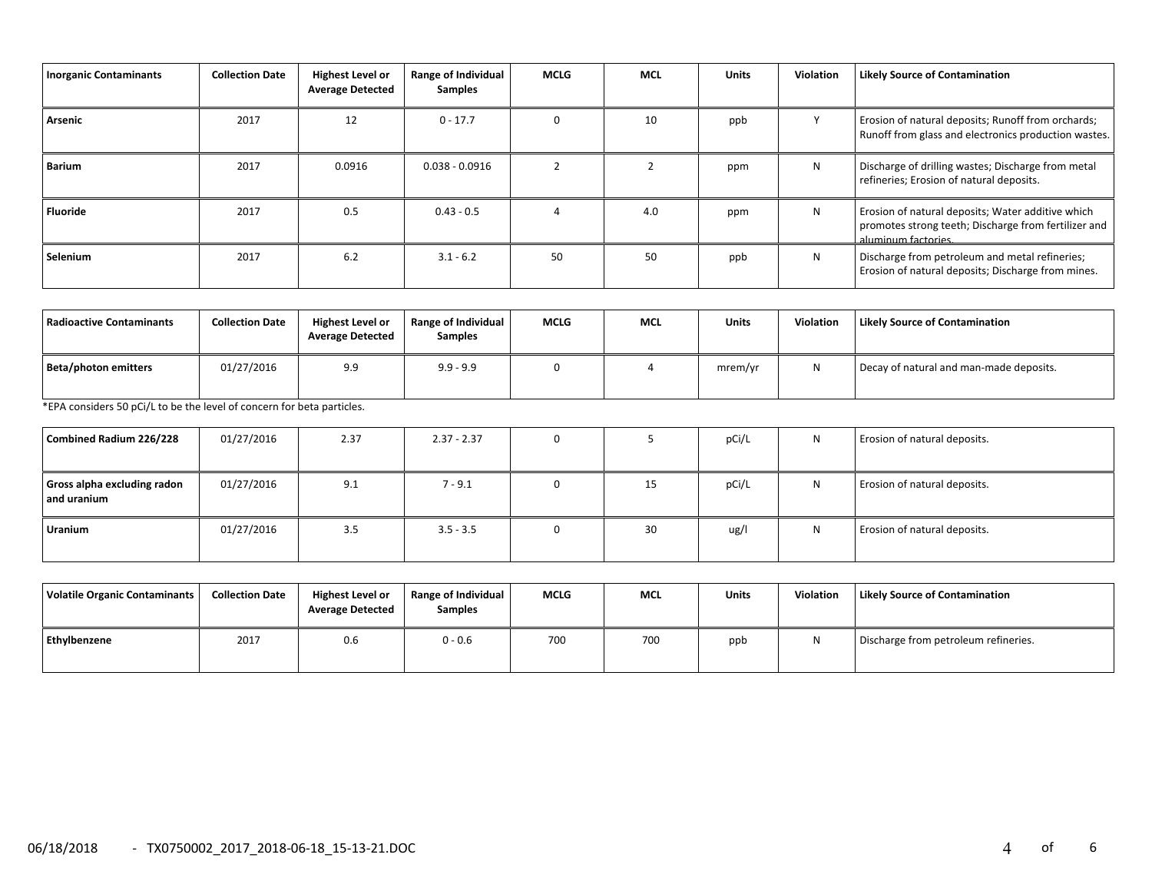| <b>Inorganic Contaminants</b> | <b>Collection Date</b> | <b>Highest Level or</b><br><b>Average Detected</b> | Range of Individual<br>Samples | <b>MCLG</b> | <b>MCL</b> | <b>Units</b> | <b>Violation</b> | <b>Likely Source of Contamination</b>                                                                                            |
|-------------------------------|------------------------|----------------------------------------------------|--------------------------------|-------------|------------|--------------|------------------|----------------------------------------------------------------------------------------------------------------------------------|
| Arsenic                       | 2017                   | 12                                                 | $0 - 17.7$                     | $\Omega$    | 10         | ppb          |                  | Erosion of natural deposits; Runoff from orchards;<br>Runoff from glass and electronics production wastes.                       |
| Barium                        | 2017                   | 0.0916                                             | $0.038 - 0.0916$               |             |            | ppm          | N                | Discharge of drilling wastes; Discharge from metal<br>refineries; Erosion of natural deposits.                                   |
| <b>Fluoride</b>               | 2017                   | 0.5                                                | $0.43 - 0.5$                   |             | 4.0        | ppm          | N                | Erosion of natural deposits; Water additive which<br>promotes strong teeth; Discharge from fertilizer and<br>aluminum factories. |
| Selenium                      | 2017                   | 6.2                                                | $3.1 - 6.2$                    | 50          | 50         | ppb          | N                | Discharge from petroleum and metal refineries;<br>Erosion of natural deposits; Discharge from mines.                             |

| Radioactive Contaminants | <b>Collection Date</b> | <b>Highest Level or</b><br><b>Average Detected</b> | <b>Range of Individual</b><br><b>Samples</b> | <b>MCLG</b> | MCL | <b>Units</b> | <b>Violation</b> | <b>Likely Source of Contamination</b>   |
|--------------------------|------------------------|----------------------------------------------------|----------------------------------------------|-------------|-----|--------------|------------------|-----------------------------------------|
| Beta/photon emitters     | 01/27/2016             | 9.9                                                | $9.9 - 9.9$                                  |             |     | mrem/yr      |                  | Decay of natural and man-made deposits. |

\*EPA considers 50 pCi/L to be the level of concern for beta particles.

| Combined Radium 226/228                    | 01/27/2016 | 2.37 | $2.37 - 2.37$ |    | pCi/L | N | Erosion of natural deposits. |
|--------------------------------------------|------------|------|---------------|----|-------|---|------------------------------|
| Gross alpha excluding radon<br>and uranium | 01/27/2016 | 9.1  | $7 - 9.1$     | 15 | pCi/L | N | Erosion of natural deposits. |
| Uranium                                    | 01/27/2016 | 3.5  | $3.5 - 3.5$   | 30 | ug/l  | N | Erosion of natural deposits. |

| Volatile Organic Contaminants | <b>Collection Date</b> | <b>Highest Level or</b><br><b>Average Detected</b> | Range of Individual<br><b>Samples</b> | <b>MCLG</b> | <b>MCL</b> | <b>Units</b> | <b>Violation</b> | <b>Likely Source of Contamination</b> |
|-------------------------------|------------------------|----------------------------------------------------|---------------------------------------|-------------|------------|--------------|------------------|---------------------------------------|
| Ethylbenzene                  | 2017                   | 0.6                                                | $0 - 0.6$                             | 700         | 700        | ppb          |                  | Discharge from petroleum refineries.  |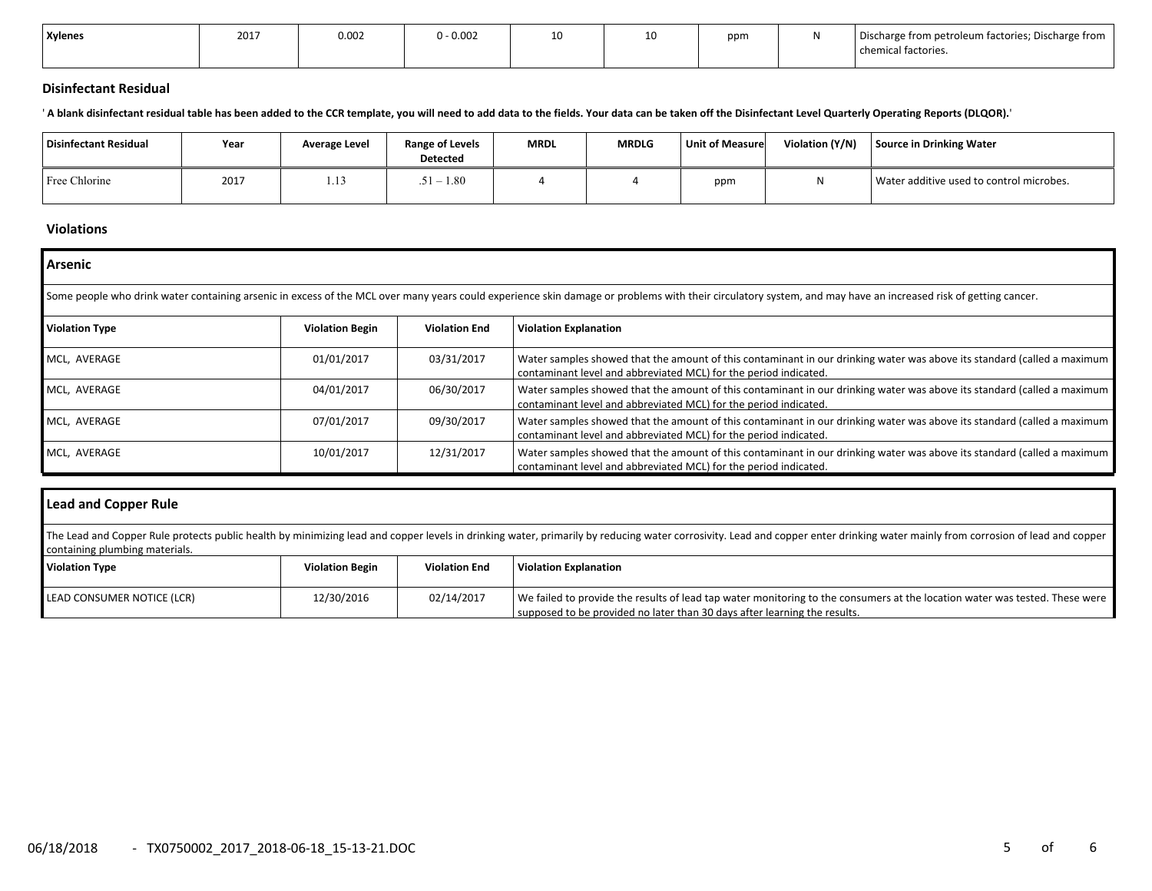| <b>Xylenes</b> | 2017 | 0.002 | 0.002 | 10<br>πu | ᅩ | ppm | Discharge from petroleum factories; Discharge from |
|----------------|------|-------|-------|----------|---|-----|----------------------------------------------------|
|                |      |       |       |          |   |     | chemical factories.                                |

### **Disinfectant Residual**

' **A blank disinfectant residual table has been added to the CCR template, you will need to add data to the fields. Your data can be taken off the Disinfectant Level Quarterly Operating Reports (DLQOR).**'

| <b>Disinfectant Residual</b> | Year | Average Level | Range of Levels<br><b>Detected</b> | <b>MRDL</b> | <b>MRDLG</b> | <b>Unit of Measure</b> | Violation (Y/N) | Source in Drinking Water                 |
|------------------------------|------|---------------|------------------------------------|-------------|--------------|------------------------|-----------------|------------------------------------------|
| Free Chlorine                | 2017 | 1.13          | $1-1.80$                           |             |              | ppm                    | N               | Water additive used to control microbes. |

#### **Violations**

| Arsenic                                                                                                                                                                                                       |                        |                      |                                                                                                                                                                                             |  |  |  |  |  |  |  |
|---------------------------------------------------------------------------------------------------------------------------------------------------------------------------------------------------------------|------------------------|----------------------|---------------------------------------------------------------------------------------------------------------------------------------------------------------------------------------------|--|--|--|--|--|--|--|
| Some people who drink water containing arsenic in excess of the MCL over many years could experience skin damage or problems with their circulatory system, and may have an increased risk of getting cancer. |                        |                      |                                                                                                                                                                                             |  |  |  |  |  |  |  |
| <b>Violation Type</b>                                                                                                                                                                                         | <b>Violation Begin</b> | <b>Violation End</b> | <b>Violation Explanation</b>                                                                                                                                                                |  |  |  |  |  |  |  |
| MCL, AVERAGE                                                                                                                                                                                                  | 01/01/2017             | 03/31/2017           | Water samples showed that the amount of this contaminant in our drinking water was above its standard (called a maximum<br>contaminant level and abbreviated MCL) for the period indicated. |  |  |  |  |  |  |  |
| MCL, AVERAGE                                                                                                                                                                                                  | 04/01/2017             | 06/30/2017           | Water samples showed that the amount of this contaminant in our drinking water was above its standard (called a maximum<br>contaminant level and abbreviated MCL) for the period indicated. |  |  |  |  |  |  |  |
| MCL, AVERAGE                                                                                                                                                                                                  | 07/01/2017             | 09/30/2017           | Water samples showed that the amount of this contaminant in our drinking water was above its standard (called a maximum<br>contaminant level and abbreviated MCL) for the period indicated. |  |  |  |  |  |  |  |
| MCL, AVERAGE                                                                                                                                                                                                  | 10/01/2017             | 12/31/2017           | Water samples showed that the amount of this contaminant in our drinking water was above its standard (called a maximum<br>contaminant level and abbreviated MCL) for the period indicated. |  |  |  |  |  |  |  |

| Lead and Copper Rule                                                                                                                                                                                                                                             |                        |                      |                                                                                                                                                                                                          |  |  |  |  |  |
|------------------------------------------------------------------------------------------------------------------------------------------------------------------------------------------------------------------------------------------------------------------|------------------------|----------------------|----------------------------------------------------------------------------------------------------------------------------------------------------------------------------------------------------------|--|--|--|--|--|
| The Lead and Copper Rule protects public health by minimizing lead and copper levels in drinking water, primarily by reducing water corrosivity. Lead and copper enter drinking water mainly from corrosion of lead and copper<br>containing plumbing materials. |                        |                      |                                                                                                                                                                                                          |  |  |  |  |  |
| <b>Violation Type</b>                                                                                                                                                                                                                                            | <b>Violation Begin</b> | <b>Violation End</b> | <b>Violation Explanation</b>                                                                                                                                                                             |  |  |  |  |  |
| LEAD CONSUMER NOTICE (LCR)                                                                                                                                                                                                                                       | 12/30/2016             | 02/14/2017           | We failed to provide the results of lead tap water monitoring to the consumers at the location water was tested. These were<br>supposed to be provided no later than 30 days after learning the results. |  |  |  |  |  |